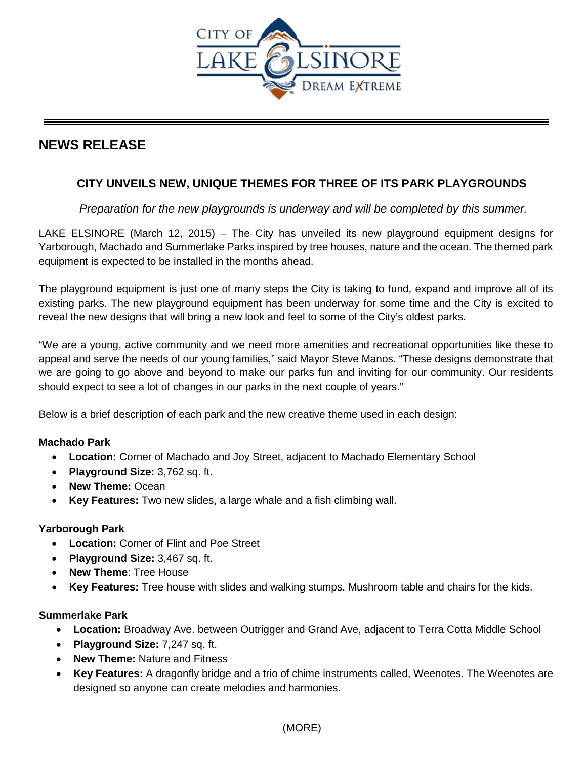

# **NEWS RELEASE**

## **CITY UNVEILS NEW, UNIQUE THEMES FOR THREE OF ITS PARK PLAYGROUNDS**

*Preparation for the new playgrounds is underway and will be completed by this summer.* 

LAKE ELSINORE (March 12, 2015) – The City has unveiled its new playground equipment designs for Yarborough, Machado and Summerlake Parks inspired by tree houses, nature and the ocean. The themed park equipment is expected to be installed in the months ahead.

The playground equipment is just one of many steps the City is taking to fund, expand and improve all of its existing parks. The new playground equipment has been underway for some time and the City is excited to reveal the new designs that will bring a new look and feel to some of the City's oldest parks.

"We are a young, active community and we need more amenities and recreational opportunities like these to appeal and serve the needs of our young families," said Mayor Steve Manos. "These designs demonstrate that we are going to go above and beyond to make our parks fun and inviting for our community. Our residents should expect to see a lot of changes in our parks in the next couple of years."

Below is a brief description of each park and the new creative theme used in each design:

## **Machado Park**

- **Location:** Corner of Machado and Joy Street, adjacent to Machado Elementary School
- **Playground Size:** 3,762 sq. ft.
- **New Theme:** Ocean
- **Key Features:** Two new slides, a large whale and a fish climbing wall.

### **Yarborough Park**

- **Location:** Corner of Flint and Poe Street
- **Playground Size:** 3,467 sq. ft.
- **New Theme**: Tree House
- **Key Features:** Tree house with slides and walking stumps. Mushroom table and chairs for the kids.

### **Summerlake Park**

- **Location:** Broadway Ave. between Outrigger and Grand Ave, adjacent to Terra Cotta Middle School
- **Playground Size:** 7,247 sq. ft.
- **New Theme:** Nature and Fitness
- **Key Features:** A dragonfly bridge and a trio of chime instruments called, Weenotes. The Weenotes are designed so anyone can create melodies and harmonies.